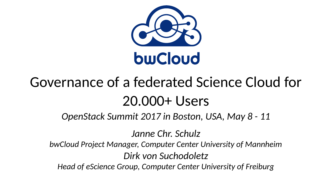

# Governance of a federated Science Cloud for 20.000+ Users

*OpenStack Summit 2017 in Boston, USA, May 8 - 11*

*Janne Chr. Schulz*

*bwCloud Project Manager, Computer Center University of Mannheim*

*Dirk von Suchodoletz*

*Head of eScience Group, Computer Center University of Freiburg*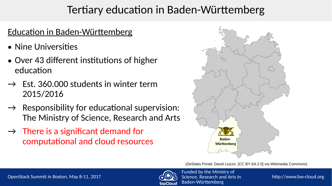### Tertiary education in Baden-Württemberg

### Education in Baden-Württemberg

- Nine Universities
- Over 43 different institutions of higher education
- $\rightarrow$  Fst. 360.000 students in winter term 2015/2016
- $\rightarrow$  Responsibility for educational supervision: The Ministry of Science, Research and Arts
- $\rightarrow$  There is a significant demand for computational and cloud resources



(DeStatis Portal; David Liuzzo. [CC BY-SA 2.0] via Wikimedia Commons)

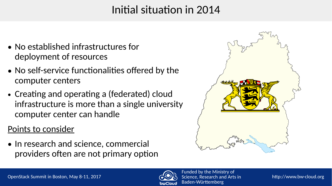# Initial situation in 2014

- No established infrastructures for deployment of resources
- No self-service functionalities offered by the computer centers
- Creating and operating a (federated) cloud infrastructure is more than a single university computer center can handle

#### Points to consider

• In research and science, commercial providers often are not primary option



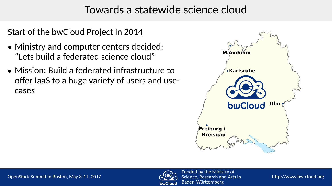### Towards a statewide science cloud

- Ministry and computer centers decided: "Lets build a federated science cloud"
- Mission: Build a federated infrastructure to offer IaaS to a huge variety of users and usecases



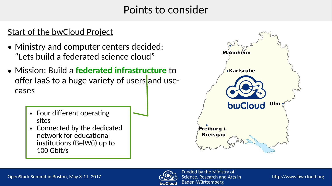- Ministry and computer centers decided: "Lets build a federated science cloud"
- Mission: Build a **federated infrastructure** to offer laaS to a huge variety of users and usecases
	- Four different operating sites
	- Connected by the dedicated network for educational institutions (BelWü) up to 100 Gbit/s



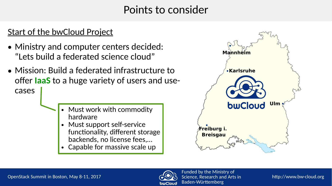- Ministry and computer centers decided: "Lets build a federated science cloud"
- Mission: Build a federated infrastructure to offer **IaaS** to a huge variety of users and usecases
	- Must work with commodity hardware
	- Must support self-service functionality, different storage backends, no license fees,…
	- **Capable for massive scale up**



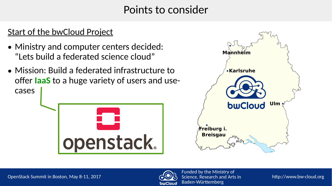- Ministry and computer centers decided: "Lets build a federated science cloud"
- Mission: Build a federated infrastructure to offer **IaaS** to a huge variety of users and usecases





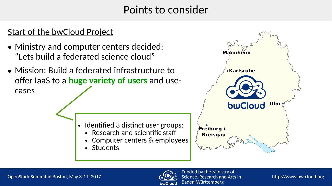- Ministry and computer centers decided: "Lets build a federated science cloud"
- Mission: Build a federated infrastructure to offer IaaS to a **huge variety of users** and usecases

- Identified 3 distinct user groups:
	- $\bullet$  Research and scientific staff
	- Computer centers & employees
	- Students



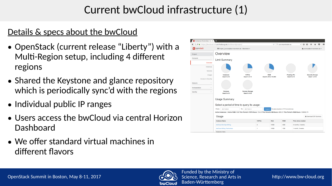# Current bwCloud infrastructure (1)

### Details & specs about the bwCloud

- OpenStack (current release "Liberty") with a Multi-Region setup, including 4 different regions
- Shared the Keystone and glance repository which is periodically sync'd with the regions
- Individual public IP ranges
- Users access the bwCloud via central Horizon Dashboard
- We offer standard virtual machines in different flavors



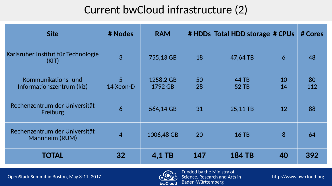# Current bwCloud infrastructure (2)

| <b>Site</b>                                      | # Nodes        | <b>RAM</b>           |          | # HDDs Total HDD storage # CPUs |          | # Cores   |
|--------------------------------------------------|----------------|----------------------|----------|---------------------------------|----------|-----------|
| Karlsruher Institut für Technologie<br>(KIT)     | $\overline{3}$ | 755,13 GB            | 18       | 47,64 TB                        | 6        | 48        |
| Kommunikations- und<br>Informationszentrum (kiz) | 5<br>14 Xeon-D | 1258,2 GB<br>1792 GB | 50<br>28 | 44 TB<br>52 TB                  | 10<br>14 | 80<br>112 |
| Rechenzentrum der Universität<br>Freiburg        | 6              | 564,14 GB            | 31       | 25,11 TB                        | 12       | 88        |
| Rechenzentrum der Universität<br>Mannheim (RUM)  | $\overline{4}$ | 1006,48 GB           | 20       | <b>16 TB</b>                    | 8        | 64        |
| <b>TOTAL</b>                                     | 32             | 4.1 TB               | 147      | <b>184 TB</b>                   | 40       | 392       |

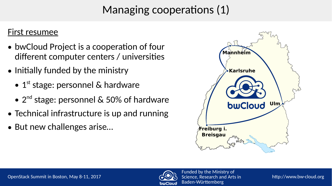# Managing cooperations (1)

#### First resumee

- bwCloud Project is a cooperation of four different computer centers / universities
- Initially funded by the ministry
	- $\bullet$  1<sup>st</sup> stage: personnel & hardware
	- $\bullet$  2<sup>nd</sup> stage: personnel & 50% of hardware
- Technical infrastructure is up and running
- But new challenges arise...





http://www.bw-cloud.org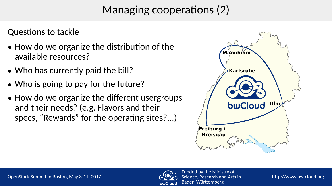# Managing cooperations (2)

### Questions to tackle

- How do we organize the distribution of the available resources?
- Who has currently paid the bill?
- Who is going to pay for the future?
- How do we organize the different usergroups and their needs? (e.g. Flavors and their specs, "Rewards" for the operating sites?...)



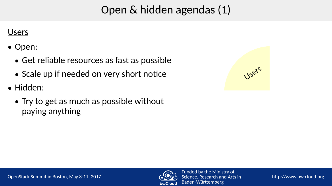# Open & hidden agendas (1)

#### Users

- Open:
	- Get reliable resources as fast as possible
	- Scale up if needed on very short notice
- Hidden:
	- Try to get as much as possible without paying anything



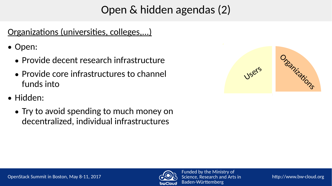# Open & hidden agendas (2)

### Organizations (universities, colleges,...)

• Open:

- Provide decent research infrastructure
- Provide core infrastructures to channel funds into
- Hidden:
	- Try to avoid spending to much money on decentralized, individual infrastructures



http://www.bw-cloud.org

Funded by the Ministry of Science, Research and Arts in

Baden-Württemberg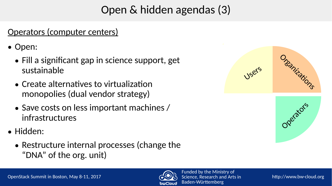# Open & hidden agendas (3)

### Operators (computer centers)

- Open:
	- Fill a significant gap in science support, get sustainable
	- Create alternatives to virtualization monopolies (dual vendor strategy)
	- Save costs on less important machines / infrastructures
- Hidden:
	- Restructure internal processes (change the "DNA" of the org. unit)





http://www.bw-cloud.org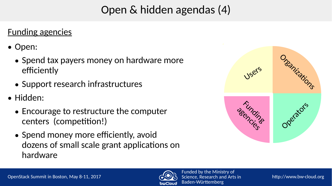# Open & hidden agendas (4)

### Funding agencies

- Open:
	- Spend tax payers money on hardware more efficiently
	- Support research infrastructures
- Hidden:
	- Encourage to restructure the computer centers (competition!)
	- Spend money more efficiently, avoid dozens of small scale grant applications on hardware



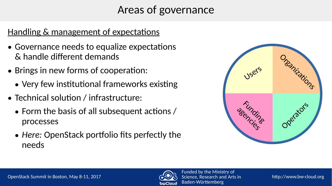# Areas of governance

### Handling & management of expectations

- Governance needs to equalize expectations & handle different demands
- Brings in new forms of cooperation:
	- Very few institutional frameworks existing
- Technical solution / infrastructure:
	- $\bullet$  Form the basis of all subsequent actions / processes
	- Here: OpenStack portfolio fits perfectly the needs



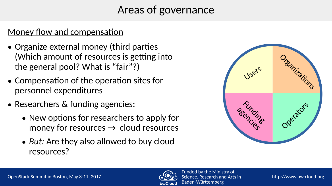# Areas of governance

### Money flow and compensation

- Organize external money (third parties (Which amount of resources is getting into the general pool? What is "fair"?)
- Compensation of the operation sites for personnel expenditures
- Researchers & funding agencies:
	- New options for researchers to apply for money for resources  $\rightarrow$  cloud resources
	- *But:* Are they also allowed to buy cloud resources?



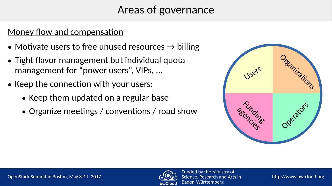# Areas of governance

### Money flow and compensation

- Motivate users to free unused resources  $\rightarrow$  billing
- Tight flavor management but individual quota management for "power users", VIPs, ...
- Keep the connection with your users:
	- Keep them updated on a regular base
	- Organize meetings / conventions / road show



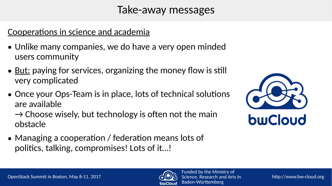### Take-away messages

### Cooperations in science and academia

- Unlike many companies, we do have a very open minded users community
- <u>But:</u> paying for services, organizing the money flow is still very complicated
- Once your Ops-Team is in place, lots of technical solutions are available

 $\rightarrow$  Choose wisely, but technology is often not the main obstacle

• Managing a cooperation / federation means lots of politics, talking, compromises! Lots of it…!



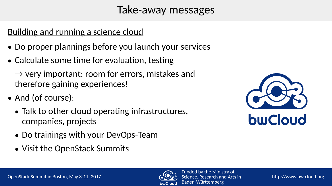### Take-away messages

### Building and running a science cloud

- Do proper plannings before you launch your services
- Calculate some time for evaluation, testing

 $\rightarrow$  very important: room for errors, mistakes and therefore gaining experiences!

- And (of course):
	- Talk to other cloud operating infrastructures, companies, projects
	- Do trainings with your DevOps-Team
	- Visit the OpenStack Summits





http://www.bw-cloud.org